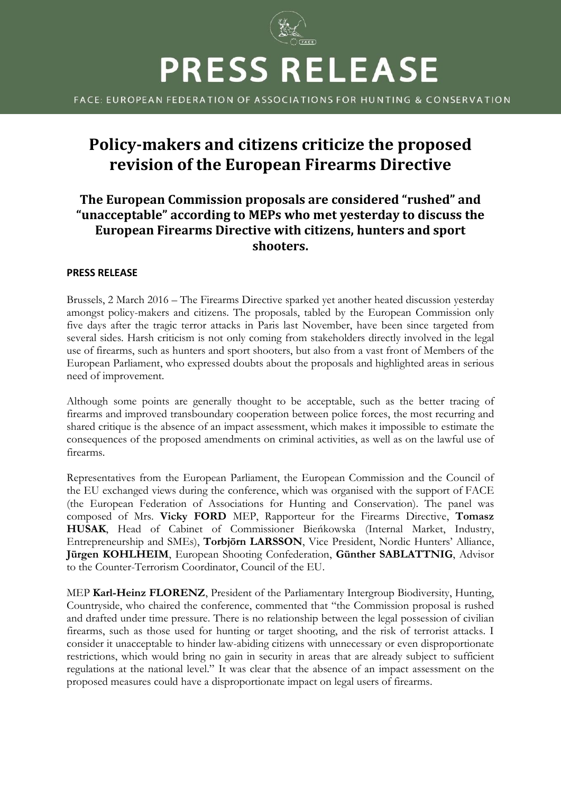

FACE: EUROPEAN FEDERATION OF ASSOCIATIONS FOR HUNTING & CONSERVATION

# **Policy-makers and citizens criticize the proposed revision of the European Firearms Directive**

## **The European Commission proposals are considered "rushed" and "unacceptable" according to MEPs who met yesterday to discuss the European Firearms Directive with citizens, hunters and sport shooters.**

#### **PRESS RELEASE**

Brussels, 2 March 2016 – The Firearms Directive sparked yet another heated discussion yesterday amongst policy-makers and citizens. The proposals, tabled by the European Commission only five days after the tragic terror attacks in Paris last November, have been since targeted from several sides. Harsh criticism is not only coming from stakeholders directly involved in the legal use of firearms, such as hunters and sport shooters, but also from a vast front of Members of the European Parliament, who expressed doubts about the proposals and highlighted areas in serious need of improvement.

Although some points are generally thought to be acceptable, such as the better tracing of firearms and improved transboundary cooperation between police forces, the most recurring and shared critique is the absence of an impact assessment, which makes it impossible to estimate the consequences of the proposed amendments on criminal activities, as well as on the lawful use of firearms.

Representatives from the European Parliament, the European Commission and the Council of the EU exchanged views during the conference, which was organised with the support of FACE (the European Federation of Associations for Hunting and Conservation). The panel was composed of Mrs. **Vicky FORD** MEP, Rapporteur for the Firearms Directive, **Tomasz HUSAK**, Head of Cabinet of Commissioner Bieńkowska (Internal Market, Industry, Entrepreneurship and SMEs), **Torbjörn LARSSON**, Vice President, Nordic Hunters' Alliance, **Jürgen KOHLHEIM**, European Shooting Confederation, **Günther SABLATTNIG**, Advisor to the Counter-Terrorism Coordinator, Council of the EU.

MEP **Karl-Heinz FLORENZ**, President of the Parliamentary Intergroup Biodiversity, Hunting, Countryside, who chaired the conference, commented that "the Commission proposal is rushed and drafted under time pressure. There is no relationship between the legal possession of civilian firearms, such as those used for hunting or target shooting, and the risk of terrorist attacks. I consider it unacceptable to hinder law-abiding citizens with unnecessary or even disproportionate restrictions, which would bring no gain in security in areas that are already subject to sufficient regulations at the national level." It was clear that the absence of an impact assessment on the proposed measures could have a disproportionate impact on legal users of firearms.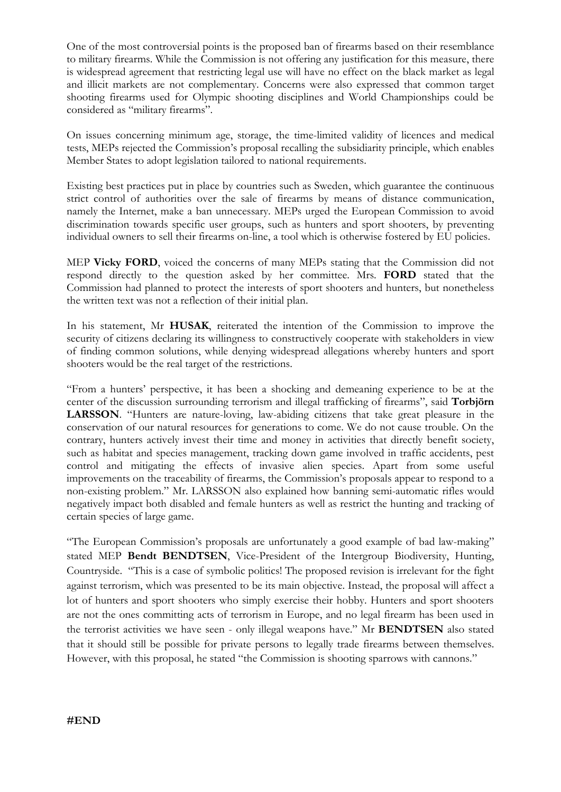One of the most controversial points is the proposed ban of firearms based on their resemblance to military firearms. While the Commission is not offering any justification for this measure, there is widespread agreement that restricting legal use will have no effect on the black market as legal and illicit markets are not complementary. Concerns were also expressed that common target shooting firearms used for Olympic shooting disciplines and World Championships could be considered as "military firearms".

On issues concerning minimum age, storage, the time-limited validity of licences and medical tests, MEPs rejected the Commission's proposal recalling the subsidiarity principle, which enables Member States to adopt legislation tailored to national requirements.

Existing best practices put in place by countries such as Sweden, which guarantee the continuous strict control of authorities over the sale of firearms by means of distance communication, namely the Internet, make a ban unnecessary. MEPs urged the European Commission to avoid discrimination towards specific user groups, such as hunters and sport shooters, by preventing individual owners to sell their firearms on-line, a tool which is otherwise fostered by EU policies.

MEP **Vicky FORD**, voiced the concerns of many MEPs stating that the Commission did not respond directly to the question asked by her committee. Mrs. **FORD** stated that the Commission had planned to protect the interests of sport shooters and hunters, but nonetheless the written text was not a reflection of their initial plan.

In his statement, Mr **HUSAK**, reiterated the intention of the Commission to improve the security of citizens declaring its willingness to constructively cooperate with stakeholders in view of finding common solutions, while denying widespread allegations whereby hunters and sport shooters would be the real target of the restrictions.

"From a hunters' perspective, it has been a shocking and demeaning experience to be at the center of the discussion surrounding terrorism and illegal trafficking of firearms", said **Torbjörn LARSSON**. "Hunters are nature-loving, law-abiding citizens that take great pleasure in the conservation of our natural resources for generations to come. We do not cause trouble. On the contrary, hunters actively invest their time and money in activities that directly benefit society, such as habitat and species management, tracking down game involved in traffic accidents, pest control and mitigating the effects of invasive alien species. Apart from some useful improvements on the traceability of firearms, the Commission's proposals appear to respond to a non-existing problem." Mr. LARSSON also explained how banning semi-automatic rifles would negatively impact both disabled and female hunters as well as restrict the hunting and tracking of certain species of large game.

"The European Commission's proposals are unfortunately a good example of bad law-making" stated MEP **Bendt BENDTSEN**, Vice-President of the Intergroup Biodiversity, Hunting, Countryside. "This is a case of symbolic politics! The proposed revision is irrelevant for the fight against terrorism, which was presented to be its main objective. Instead, the proposal will affect a lot of hunters and sport shooters who simply exercise their hobby. Hunters and sport shooters are not the ones committing acts of terrorism in Europe, and no legal firearm has been used in the terrorist activities we have seen - only illegal weapons have." Mr **BENDTSEN** also stated that it should still be possible for private persons to legally trade firearms between themselves. However, with this proposal, he stated "the Commission is shooting sparrows with cannons."